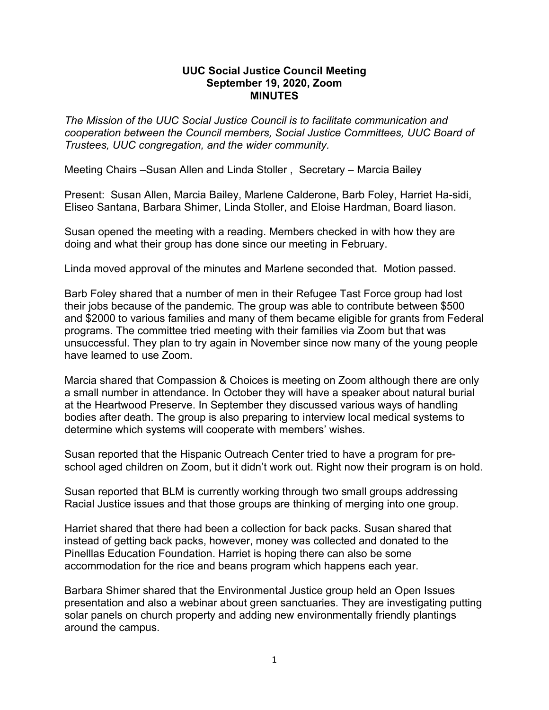## **UUC Social Justice Council Meeting September 19, 2020, Zoom MINUTES**

*The Mission of the UUC Social Justice Council is to facilitate communication and cooperation between the Council members, Social Justice Committees, UUC Board of Trustees, UUC congregation, and the wider community.*

Meeting Chairs –Susan Allen and Linda Stoller , Secretary – Marcia Bailey

Present: Susan Allen, Marcia Bailey, Marlene Calderone, Barb Foley, Harriet Ha-sidi, Eliseo Santana, Barbara Shimer, Linda Stoller, and Eloise Hardman, Board liason.

Susan opened the meeting with a reading. Members checked in with how they are doing and what their group has done since our meeting in February.

Linda moved approval of the minutes and Marlene seconded that. Motion passed.

Barb Foley shared that a number of men in their Refugee Tast Force group had lost their jobs because of the pandemic. The group was able to contribute between \$500 and \$2000 to various families and many of them became eligible for grants from Federal programs. The committee tried meeting with their families via Zoom but that was unsuccessful. They plan to try again in November since now many of the young people have learned to use Zoom.

Marcia shared that Compassion & Choices is meeting on Zoom although there are only a small number in attendance. In October they will have a speaker about natural burial at the Heartwood Preserve. In September they discussed various ways of handling bodies after death. The group is also preparing to interview local medical systems to determine which systems will cooperate with members' wishes.

Susan reported that the Hispanic Outreach Center tried to have a program for preschool aged children on Zoom, but it didn't work out. Right now their program is on hold.

Susan reported that BLM is currently working through two small groups addressing Racial Justice issues and that those groups are thinking of merging into one group.

Harriet shared that there had been a collection for back packs. Susan shared that instead of getting back packs, however, money was collected and donated to the Pinelllas Education Foundation. Harriet is hoping there can also be some accommodation for the rice and beans program which happens each year.

Barbara Shimer shared that the Environmental Justice group held an Open Issues presentation and also a webinar about green sanctuaries. They are investigating putting solar panels on church property and adding new environmentally friendly plantings around the campus.